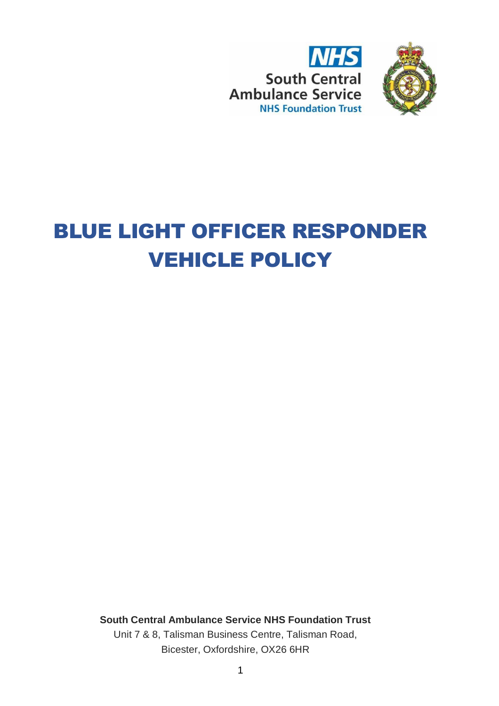



# BLUE LIGHT OFFICER RESPONDER VEHICLE POLICY

**South Central Ambulance Service NHS Foundation Trust** Unit 7 & 8, Talisman Business Centre, Talisman Road, Bicester, Oxfordshire, OX26 6HR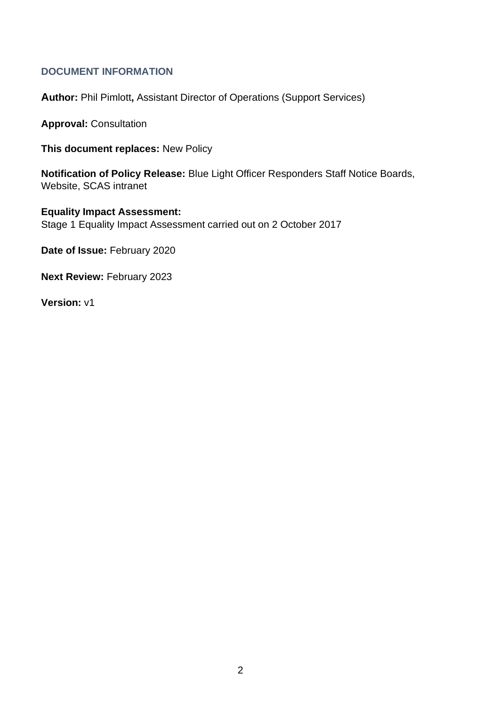## <span id="page-1-0"></span>**DOCUMENT INFORMATION**

**Author:** Phil Pimlott**,** Assistant Director of Operations (Support Services)

**Approval:** Consultation

**This document replaces:** New Policy

**Notification of Policy Release:** Blue Light Officer Responders Staff Notice Boards, Website, SCAS intranet

**Equality Impact Assessment:** Stage 1 Equality Impact Assessment carried out on 2 October 2017

**Date of Issue:** February 2020

**Next Review:** February 2023

**Version:** v1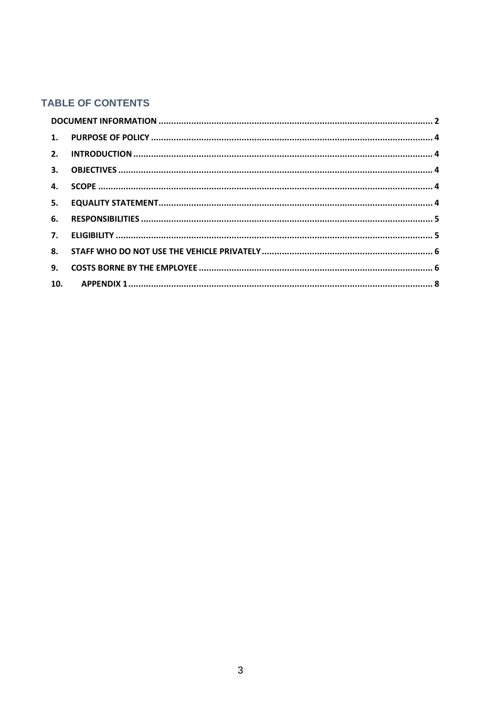# **TABLE OF CONTENTS**

| 10. |  |
|-----|--|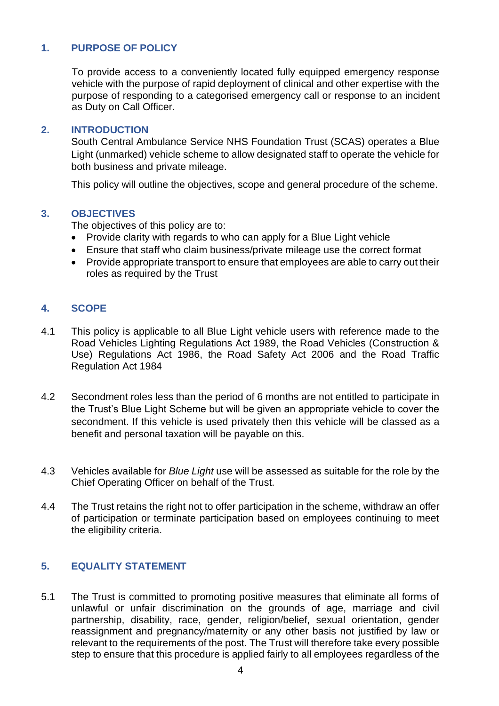### <span id="page-3-0"></span>**1. PURPOSE OF POLICY**

To provide access to a conveniently located fully equipped emergency response vehicle with the purpose of rapid deployment of clinical and other expertise with the purpose of responding to a categorised emergency call or response to an incident as Duty on Call Officer.

#### <span id="page-3-1"></span>**2. INTRODUCTION**

South Central Ambulance Service NHS Foundation Trust (SCAS) operates a Blue Light (unmarked) vehicle scheme to allow designated staff to operate the vehicle for both business and private mileage.

This policy will outline the objectives, scope and general procedure of the scheme.

#### <span id="page-3-2"></span>**3. OBJECTIVES**

The objectives of this policy are to:

- Provide clarity with regards to who can apply for a Blue Light vehicle
- Ensure that staff who claim business/private mileage use the correct format
- Provide appropriate transport to ensure that employees are able to carry out their roles as required by the Trust

#### <span id="page-3-3"></span>**4. SCOPE**

- 4.1 This policy is applicable to all Blue Light vehicle users with reference made to the Road Vehicles Lighting Regulations Act 1989, the Road Vehicles (Construction & Use) Regulations Act 1986, the Road Safety Act 2006 and the Road Traffic Regulation Act 1984
- 4.2 Secondment roles less than the period of 6 months are not entitled to participate in the Trust's Blue Light Scheme but will be given an appropriate vehicle to cover the secondment. If this vehicle is used privately then this vehicle will be classed as a benefit and personal taxation will be payable on this.
- 4.3 Vehicles available for *Blue Light* use will be assessed as suitable for the role by the Chief Operating Officer on behalf of the Trust.
- 4.4 The Trust retains the right not to offer participation in the scheme, withdraw an offer of participation or terminate participation based on employees continuing to meet the eligibility criteria.

#### <span id="page-3-4"></span>**5. EQUALITY STATEMENT**

5.1 The Trust is committed to promoting positive measures that eliminate all forms of unlawful or unfair discrimination on the grounds of age, marriage and civil partnership, disability, race, gender, religion/belief, sexual orientation, gender reassignment and pregnancy/maternity or any other basis not justified by law or relevant to the requirements of the post. The Trust will therefore take every possible step to ensure that this procedure is applied fairly to all employees regardless of the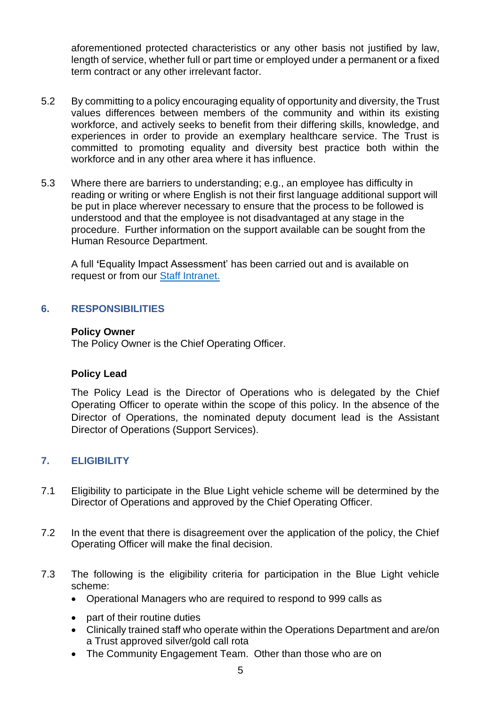aforementioned protected characteristics or any other basis not justified by law, length of service, whether full or part time or employed under a permanent or a fixed term contract or any other irrelevant factor.

- 5.2 By committing to a policy encouraging equality of opportunity and diversity, the Trust values differences between members of the community and within its existing workforce, and actively seeks to benefit from their differing skills, knowledge, and experiences in order to provide an exemplary healthcare service. The Trust is committed to promoting equality and diversity best practice both within the workforce and in any other area where it has influence.
- 5.3 Where there are barriers to understanding; e.g., an employee has difficulty in reading or writing or where English is not their first language additional support will be put in place wherever necessary to ensure that the process to be followed is understood and that the employee is not disadvantaged at any stage in the procedure. Further information on the support available can be sought from the Human Resource Department.

A full **'**Equality Impact Assessment' has been carried out and is available on request or from our [Staff Intranet.](https://www.scas.nhs.uk/intranet/)

#### <span id="page-4-0"></span>**6. RESPONSIBILITIES**

#### **Policy Owner**

The Policy Owner is the Chief Operating Officer.

#### **Policy Lead**

The Policy Lead is the Director of Operations who is delegated by the Chief Operating Officer to operate within the scope of this policy. In the absence of the Director of Operations, the nominated deputy document lead is the Assistant Director of Operations (Support Services).

#### <span id="page-4-1"></span>**7. ELIGIBILITY**

- 7.1 Eligibility to participate in the Blue Light vehicle scheme will be determined by the Director of Operations and approved by the Chief Operating Officer.
- 7.2 In the event that there is disagreement over the application of the policy, the Chief Operating Officer will make the final decision.
- 7.3 The following is the eligibility criteria for participation in the Blue Light vehicle scheme:
	- Operational Managers who are required to respond to 999 calls as
	- part of their routine duties
	- Clinically trained staff who operate within the Operations Department and are/on a Trust approved silver/gold call rota
	- The Community Engagement Team. Other than those who are on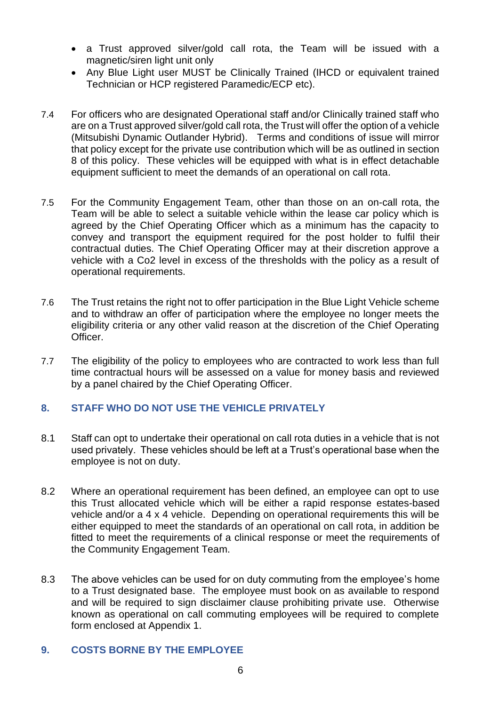- a Trust approved silver/gold call rota, the Team will be issued with a magnetic/siren light unit only
- Any Blue Light user MUST be Clinically Trained (IHCD or equivalent trained Technician or HCP registered Paramedic/ECP etc).
- 7.4 For officers who are designated Operational staff and/or Clinically trained staff who are on a Trust approved silver/gold call rota, the Trust will offer the option of a vehicle (Mitsubishi Dynamic Outlander Hybrid). Terms and conditions of issue will mirror that policy except for the private use contribution which will be as outlined in section 8 of this policy. These vehicles will be equipped with what is in effect detachable equipment sufficient to meet the demands of an operational on call rota.
- 7.5 For the Community Engagement Team, other than those on an on-call rota, the Team will be able to select a suitable vehicle within the lease car policy which is agreed by the Chief Operating Officer which as a minimum has the capacity to convey and transport the equipment required for the post holder to fulfil their contractual duties. The Chief Operating Officer may at their discretion approve a vehicle with a Co2 level in excess of the thresholds with the policy as a result of operational requirements.
- 7.6 The Trust retains the right not to offer participation in the Blue Light Vehicle scheme and to withdraw an offer of participation where the employee no longer meets the eligibility criteria or any other valid reason at the discretion of the Chief Operating **Officer**
- 7.7 The eligibility of the policy to employees who are contracted to work less than full time contractual hours will be assessed on a value for money basis and reviewed by a panel chaired by the Chief Operating Officer.

## <span id="page-5-0"></span>**8. STAFF WHO DO NOT USE THE VEHICLE PRIVATELY**

- 8.1 Staff can opt to undertake their operational on call rota duties in a vehicle that is not used privately. These vehicles should be left at a Trust's operational base when the employee is not on duty.
- 8.2 Where an operational requirement has been defined, an employee can opt to use this Trust allocated vehicle which will be either a rapid response estates-based vehicle and/or a 4 x 4 vehicle. Depending on operational requirements this will be either equipped to meet the standards of an operational on call rota, in addition be fitted to meet the requirements of a clinical response or meet the requirements of the Community Engagement Team.
- 8.3 The above vehicles can be used for on duty commuting from the employee's home to a Trust designated base. The employee must book on as available to respond and will be required to sign disclaimer clause prohibiting private use. Otherwise known as operational on call commuting employees will be required to complete form enclosed at Appendix 1.

#### <span id="page-5-1"></span>**9. COSTS BORNE BY THE EMPLOYEE**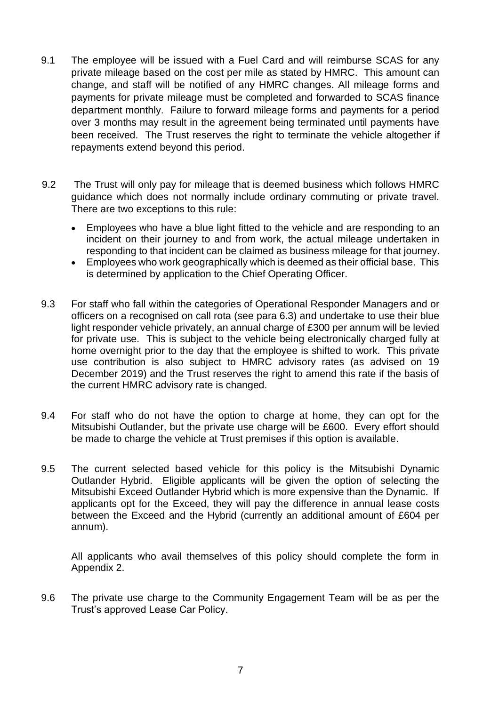- 9.1 The employee will be issued with a Fuel Card and will reimburse SCAS for any private mileage based on the cost per mile as stated by HMRC. This amount can change, and staff will be notified of any HMRC changes. All mileage forms and payments for private mileage must be completed and forwarded to SCAS finance department monthly. Failure to forward mileage forms and payments for a period over 3 months may result in the agreement being terminated until payments have been received. The Trust reserves the right to terminate the vehicle altogether if repayments extend beyond this period.
- 9.2 The Trust will only pay for mileage that is deemed business which follows HMRC guidance which does not normally include ordinary commuting or private travel. There are two exceptions to this rule:
	- Employees who have a blue light fitted to the vehicle and are responding to an incident on their journey to and from work, the actual mileage undertaken in responding to that incident can be claimed as business mileage for that journey.
	- Employees who work geographically which is deemed as their official base. This is determined by application to the Chief Operating Officer.
- 9.3 For staff who fall within the categories of Operational Responder Managers and or officers on a recognised on call rota (see para 6.3) and undertake to use their blue light responder vehicle privately, an annual charge of £300 per annum will be levied for private use. This is subject to the vehicle being electronically charged fully at home overnight prior to the day that the employee is shifted to work. This private use contribution is also subject to HMRC advisory rates (as advised on 19 December 2019) and the Trust reserves the right to amend this rate if the basis of the current HMRC advisory rate is changed.
- 9.4 For staff who do not have the option to charge at home, they can opt for the Mitsubishi Outlander, but the private use charge will be £600. Every effort should be made to charge the vehicle at Trust premises if this option is available.
- 9.5 The current selected based vehicle for this policy is the Mitsubishi Dynamic Outlander Hybrid. Eligible applicants will be given the option of selecting the Mitsubishi Exceed Outlander Hybrid which is more expensive than the Dynamic. If applicants opt for the Exceed, they will pay the difference in annual lease costs between the Exceed and the Hybrid (currently an additional amount of £604 per annum).

All applicants who avail themselves of this policy should complete the form in Appendix 2.

9.6 The private use charge to the Community Engagement Team will be as per the Trust's approved Lease Car Policy.